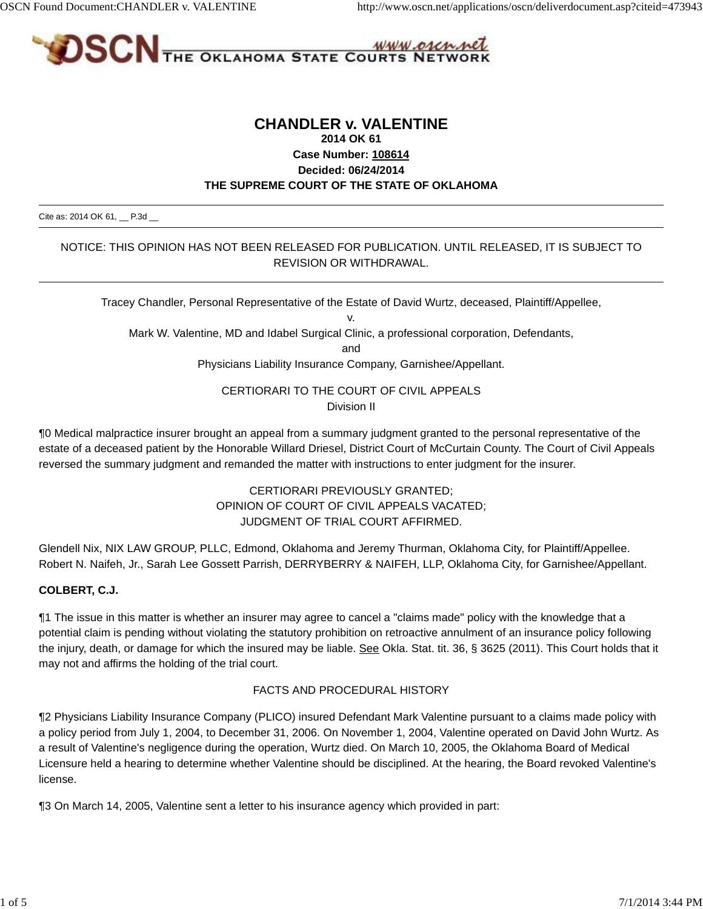

# **CHANDLER v. VALENTINE 2014 OK 61 Case Number: 108614 Decided: 06/24/2014 THE SUPREME COURT OF THE STATE OF OKLAHOMA**

Cite as: 2014 OK 61, \_ P.3d \_

#### NOTICE: THIS OPINION HAS NOT BEEN RELEASED FOR PUBLICATION. UNTIL RELEASED, IT IS SUBJECT TO REVISION OR WITHDRAWAL.

Tracey Chandler, Personal Representative of the Estate of David Wurtz, deceased, Plaintiff/Appellee,

v.

Mark W. Valentine, MD and Idabel Surgical Clinic, a professional corporation, Defendants,

and

Physicians Liability Insurance Company, Garnishee/Appellant.

#### CERTIORARI TO THE COURT OF CIVIL APPEALS Division II

¶0 Medical malpractice insurer brought an appeal from a summary judgment granted to the personal representative of the estate of a deceased patient by the Honorable Willard Driesel, District Court of McCurtain County. The Court of Civil Appeals reversed the summary judgment and remanded the matter with instructions to enter judgment for the insurer.

# CERTIORARI PREVIOUSLY GRANTED; OPINION OF COURT OF CIVIL APPEALS VACATED; JUDGMENT OF TRIAL COURT AFFIRMED.

Glendell Nix, NIX LAW GROUP, PLLC, Edmond, Oklahoma and Jeremy Thurman, Oklahoma City, for Plaintiff/Appellee. Robert N. Naifeh, Jr., Sarah Lee Gossett Parrish, DERRYBERRY & NAIFEH, LLP, Oklahoma City, for Garnishee/Appellant.

#### **COLBERT, C.J.**

¶1 The issue in this matter is whether an insurer may agree to cancel a "claims made" policy with the knowledge that a potential claim is pending without violating the statutory prohibition on retroactive annulment of an insurance policy following the injury, death, or damage for which the insured may be liable. See Okla. Stat. tit. 36, § 3625 (2011). This Court holds that it may not and affirms the holding of the trial court.

#### FACTS AND PROCEDURAL HISTORY

¶2 Physicians Liability Insurance Company (PLICO) insured Defendant Mark Valentine pursuant to a claims made policy with a policy period from July 1, 2004, to December 31, 2006. On November 1, 2004, Valentine operated on David John Wurtz. As a result of Valentine's negligence during the operation, Wurtz died. On March 10, 2005, the Oklahoma Board of Medical Licensure held a hearing to determine whether Valentine should be disciplined. At the hearing, the Board revoked Valentine's license.

¶3 On March 14, 2005, Valentine sent a letter to his insurance agency which provided in part: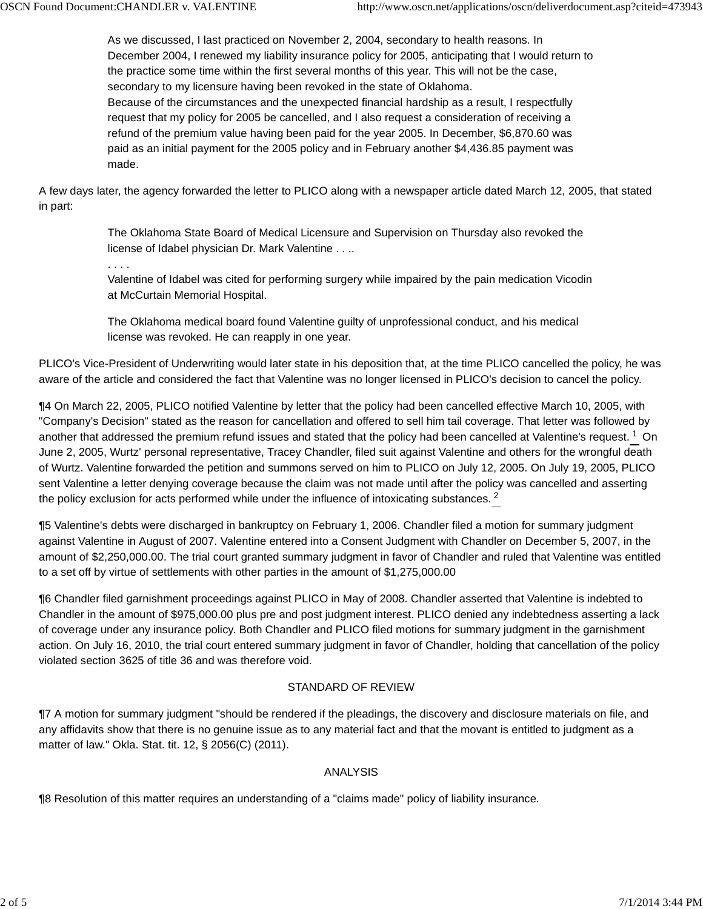As we discussed, I last practiced on November 2, 2004, secondary to health reasons. In December 2004, I renewed my liability insurance policy for 2005, anticipating that I would return to the practice some time within the first several months of this year. This will not be the case, secondary to my licensure having been revoked in the state of Oklahoma. Because of the circumstances and the unexpected financial hardship as a result, I respectfully request that my policy for 2005 be cancelled, and I also request a consideration of receiving a refund of the premium value having been paid for the year 2005. In December, \$6,870.60 was paid as an initial payment for the 2005 policy and in February another \$4,436.85 payment was made.

A few days later, the agency forwarded the letter to PLICO along with a newspaper article dated March 12, 2005, that stated in part:

> The Oklahoma State Board of Medical Licensure and Supervision on Thursday also revoked the license of Idabel physician Dr. Mark Valentine . . ..

. . . .

Valentine of Idabel was cited for performing surgery while impaired by the pain medication Vicodin at McCurtain Memorial Hospital.

The Oklahoma medical board found Valentine guilty of unprofessional conduct, and his medical license was revoked. He can reapply in one year.

PLICO's Vice-President of Underwriting would later state in his deposition that, at the time PLICO cancelled the policy, he was aware of the article and considered the fact that Valentine was no longer licensed in PLICO's decision to cancel the policy.

¶4 On March 22, 2005, PLICO notified Valentine by letter that the policy had been cancelled effective March 10, 2005, with "Company's Decision" stated as the reason for cancellation and offered to sell him tail coverage. That letter was followed by another that addressed the premium refund issues and stated that the policy had been cancelled at Valentine's request. <sup>1</sup> On June 2, 2005, Wurtz' personal representative, Tracey Chandler, filed suit against Valentine and others for the wrongful death of Wurtz. Valentine forwarded the petition and summons served on him to PLICO on July 12, 2005. On July 19, 2005, PLICO sent Valentine a letter denying coverage because the claim was not made until after the policy was cancelled and asserting the policy exclusion for acts performed while under the influence of intoxicating substances. <sup>2</sup>

¶5 Valentine's debts were discharged in bankruptcy on February 1, 2006. Chandler filed a motion for summary judgment against Valentine in August of 2007. Valentine entered into a Consent Judgment with Chandler on December 5, 2007, in the amount of \$2,250,000.00. The trial court granted summary judgment in favor of Chandler and ruled that Valentine was entitled to a set off by virtue of settlements with other parties in the amount of \$1,275,000.00

¶6 Chandler filed garnishment proceedings against PLICO in May of 2008. Chandler asserted that Valentine is indebted to Chandler in the amount of \$975,000.00 plus pre and post judgment interest. PLICO denied any indebtedness asserting a lack of coverage under any insurance policy. Both Chandler and PLICO filed motions for summary judgment in the garnishment action. On July 16, 2010, the trial court entered summary judgment in favor of Chandler, holding that cancellation of the policy violated section 3625 of title 36 and was therefore void.

# STANDARD OF REVIEW

¶7 A motion for summary judgment "should be rendered if the pleadings, the discovery and disclosure materials on file, and any affidavits show that there is no genuine issue as to any material fact and that the movant is entitled to judgment as a matter of law." Okla. Stat. tit. 12, § 2056(C) (2011).

# ANALYSIS

¶8 Resolution of this matter requires an understanding of a "claims made" policy of liability insurance.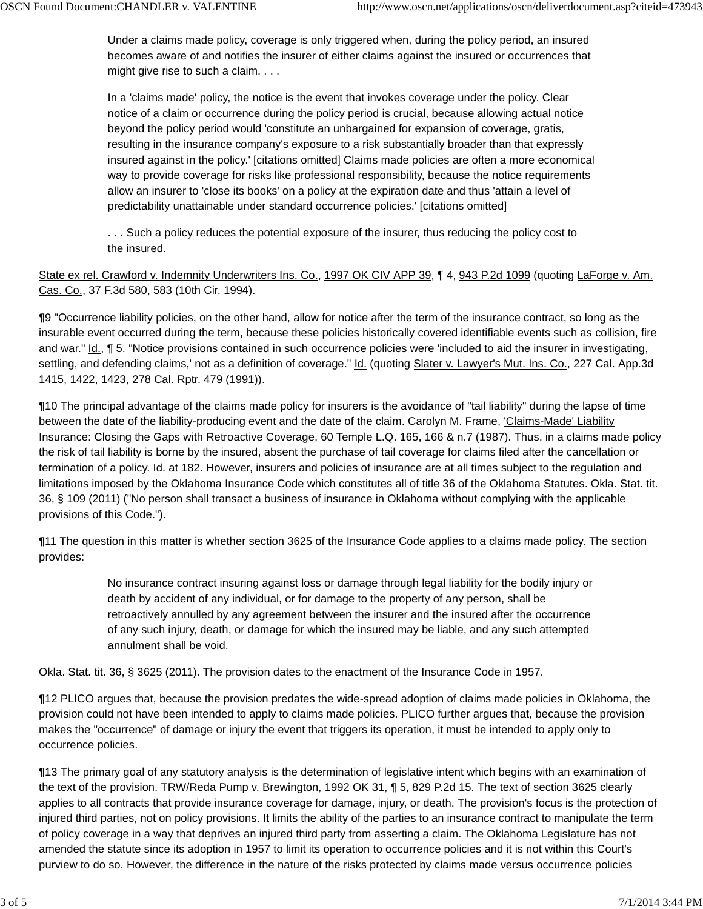Under a claims made policy, coverage is only triggered when, during the policy period, an insured becomes aware of and notifies the insurer of either claims against the insured or occurrences that might give rise to such a claim. . . .

In a 'claims made' policy, the notice is the event that invokes coverage under the policy. Clear notice of a claim or occurrence during the policy period is crucial, because allowing actual notice beyond the policy period would 'constitute an unbargained for expansion of coverage, gratis, resulting in the insurance company's exposure to a risk substantially broader than that expressly insured against in the policy.' [citations omitted] Claims made policies are often a more economical way to provide coverage for risks like professional responsibility, because the notice requirements allow an insurer to 'close its books' on a policy at the expiration date and thus 'attain a level of predictability unattainable under standard occurrence policies.' [citations omitted]

. . . Such a policy reduces the potential exposure of the insurer, thus reducing the policy cost to the insured.

State ex rel. Crawford v. Indemnity Underwriters Ins. Co., 1997 OK CIV APP 39, ¶ 4, 943 P.2d 1099 (quoting LaForge v. Am. Cas. Co., 37 F.3d 580, 583 (10th Cir. 1994).

¶9 "Occurrence liability policies, on the other hand, allow for notice after the term of the insurance contract, so long as the insurable event occurred during the term, because these policies historically covered identifiable events such as collision, fire and war." Id., ¶ 5. "Notice provisions contained in such occurrence policies were 'included to aid the insurer in investigating, settling, and defending claims,' not as a definition of coverage." **Id.** (quoting Slater v. Lawyer's Mut. Ins. Co., 227 Cal. App.3d 1415, 1422, 1423, 278 Cal. Rptr. 479 (1991)).

¶10 The principal advantage of the claims made policy for insurers is the avoidance of "tail liability" during the lapse of time between the date of the liability-producing event and the date of the claim. Carolyn M. Frame, *Claims-Made' Liability* Insurance: Closing the Gaps with Retroactive Coverage, 60 Temple L.Q. 165, 166 & n.7 (1987). Thus, in a claims made policy the risk of tail liability is borne by the insured, absent the purchase of tail coverage for claims filed after the cancellation or termination of a policy. Id. at 182. However, insurers and policies of insurance are at all times subject to the regulation and limitations imposed by the Oklahoma Insurance Code which constitutes all of title 36 of the Oklahoma Statutes. Okla. Stat. tit. 36, § 109 (2011) ("No person shall transact a business of insurance in Oklahoma without complying with the applicable provisions of this Code.").

¶11 The question in this matter is whether section 3625 of the Insurance Code applies to a claims made policy. The section provides:

> No insurance contract insuring against loss or damage through legal liability for the bodily injury or death by accident of any individual, or for damage to the property of any person, shall be retroactively annulled by any agreement between the insurer and the insured after the occurrence of any such injury, death, or damage for which the insured may be liable, and any such attempted annulment shall be void.

Okla. Stat. tit. 36, § 3625 (2011). The provision dates to the enactment of the Insurance Code in 1957.

¶12 PLICO argues that, because the provision predates the wide-spread adoption of claims made policies in Oklahoma, the provision could not have been intended to apply to claims made policies. PLICO further argues that, because the provision makes the "occurrence" of damage or injury the event that triggers its operation, it must be intended to apply only to occurrence policies.

¶13 The primary goal of any statutory analysis is the determination of legislative intent which begins with an examination of the text of the provision. TRW/Reda Pump v. Brewington, 1992 OK 31, 1 5, 829 P.2d 15. The text of section 3625 clearly applies to all contracts that provide insurance coverage for damage, injury, or death. The provision's focus is the protection of injured third parties, not on policy provisions. It limits the ability of the parties to an insurance contract to manipulate the term of policy coverage in a way that deprives an injured third party from asserting a claim. The Oklahoma Legislature has not amended the statute since its adoption in 1957 to limit its operation to occurrence policies and it is not within this Court's purview to do so. However, the difference in the nature of the risks protected by claims made versus occurrence policies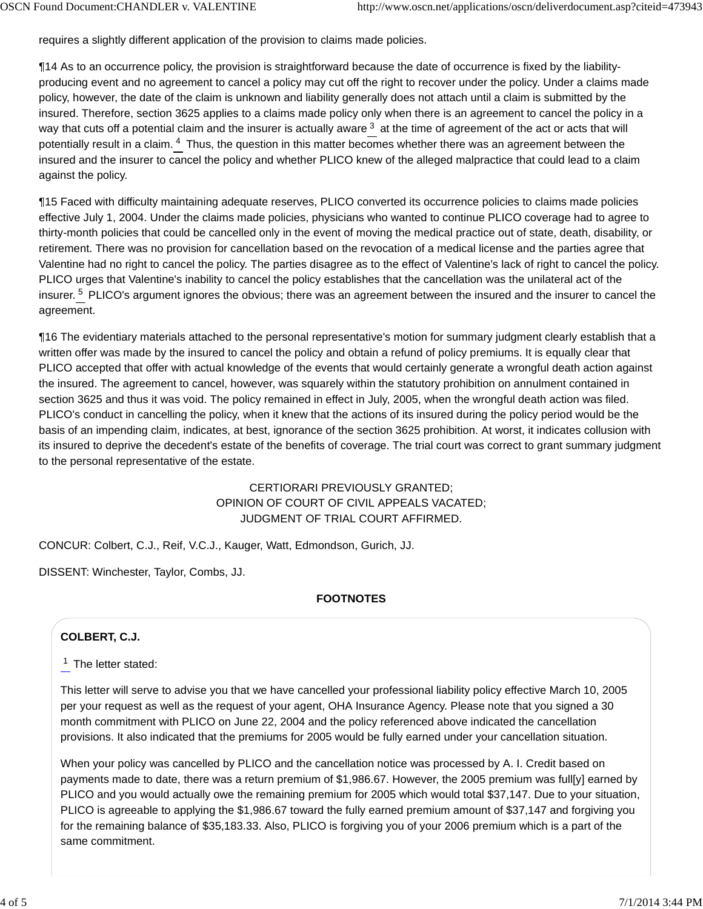requires a slightly different application of the provision to claims made policies.

¶14 As to an occurrence policy, the provision is straightforward because the date of occurrence is fixed by the liabilityproducing event and no agreement to cancel a policy may cut off the right to recover under the policy. Under a claims made policy, however, the date of the claim is unknown and liability generally does not attach until a claim is submitted by the insured. Therefore, section 3625 applies to a claims made policy only when there is an agreement to cancel the policy in a way that cuts off a potential claim and the insurer is actually aware  $^3$  at the time of agreement of the act or acts that will potentially result in a claim. <sup>4</sup> Thus, the question in this matter becomes whether there was an agreement between the insured and the insurer to cancel the policy and whether PLICO knew of the alleged malpractice that could lead to a claim against the policy.

¶15 Faced with difficulty maintaining adequate reserves, PLICO converted its occurrence policies to claims made policies effective July 1, 2004. Under the claims made policies, physicians who wanted to continue PLICO coverage had to agree to thirty-month policies that could be cancelled only in the event of moving the medical practice out of state, death, disability, or retirement. There was no provision for cancellation based on the revocation of a medical license and the parties agree that Valentine had no right to cancel the policy. The parties disagree as to the effect of Valentine's lack of right to cancel the policy. PLICO urges that Valentine's inability to cancel the policy establishes that the cancellation was the unilateral act of the insurer. <sup>5</sup> PLICO's argument ignores the obvious; there was an agreement between the insured and the insurer to cancel the agreement.

¶16 The evidentiary materials attached to the personal representative's motion for summary judgment clearly establish that a written offer was made by the insured to cancel the policy and obtain a refund of policy premiums. It is equally clear that PLICO accepted that offer with actual knowledge of the events that would certainly generate a wrongful death action against the insured. The agreement to cancel, however, was squarely within the statutory prohibition on annulment contained in section 3625 and thus it was void. The policy remained in effect in July, 2005, when the wrongful death action was filed. PLICO's conduct in cancelling the policy, when it knew that the actions of its insured during the policy period would be the basis of an impending claim, indicates, at best, ignorance of the section 3625 prohibition. At worst, it indicates collusion with its insured to deprive the decedent's estate of the benefits of coverage. The trial court was correct to grant summary judgment to the personal representative of the estate.

# CERTIORARI PREVIOUSLY GRANTED; OPINION OF COURT OF CIVIL APPEALS VACATED; JUDGMENT OF TRIAL COURT AFFIRMED.

CONCUR: Colbert, C.J., Reif, V.C.J., Kauger, Watt, Edmondson, Gurich, JJ.

DISSENT: Winchester, Taylor, Combs, JJ.

#### **FOOTNOTES**

# **COLBERT, C.J.**

 $1$  The letter stated:

This letter will serve to advise you that we have cancelled your professional liability policy effective March 10, 2005 per your request as well as the request of your agent, OHA Insurance Agency. Please note that you signed a 30 month commitment with PLICO on June 22, 2004 and the policy referenced above indicated the cancellation provisions. It also indicated that the premiums for 2005 would be fully earned under your cancellation situation.

When your policy was cancelled by PLICO and the cancellation notice was processed by A. I. Credit based on payments made to date, there was a return premium of \$1,986.67. However, the 2005 premium was full[y] earned by PLICO and you would actually owe the remaining premium for 2005 which would total \$37,147. Due to your situation, PLICO is agreeable to applying the \$1,986.67 toward the fully earned premium amount of \$37,147 and forgiving you for the remaining balance of \$35,183.33. Also, PLICO is forgiving you of your 2006 premium which is a part of the same commitment.